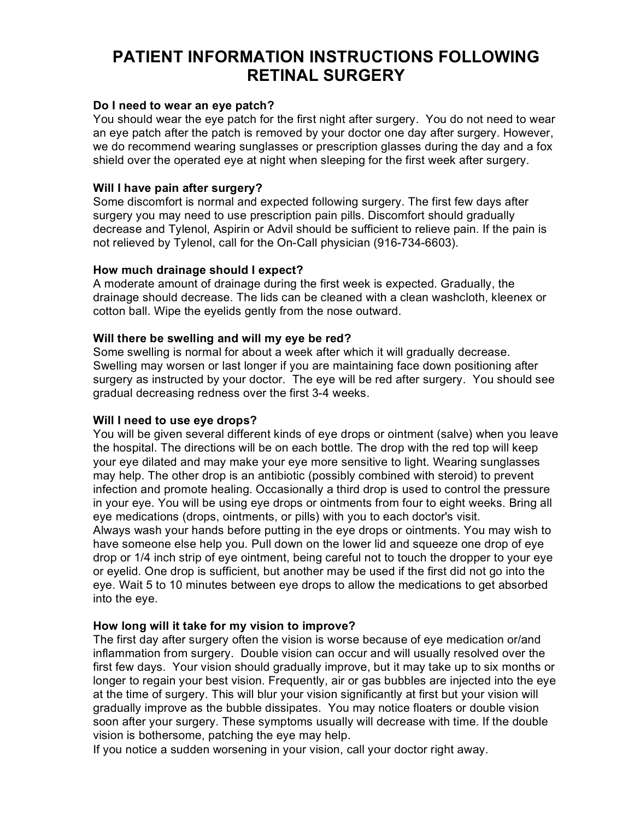# **PATIENT INFORMATION INSTRUCTIONS FOLLOWING RETINAL SURGERY**

## **Do I need to wear an eye patch?**

You should wear the eye patch for the first night after surgery. You do not need to wear an eye patch after the patch is removed by your doctor one day after surgery. However, we do recommend wearing sunglasses or prescription glasses during the day and a fox shield over the operated eye at night when sleeping for the first week after surgery.

## **Will I have pain after surgery?**

Some discomfort is normal and expected following surgery. The first few days after surgery you may need to use prescription pain pills. Discomfort should gradually decrease and Tylenol, Aspirin or Advil should be sufficient to relieve pain. If the pain is not relieved by Tylenol, call for the On-Call physician (916-734-6603).

## **How much drainage should I expect?**

A moderate amount of drainage during the first week is expected. Gradually, the drainage should decrease. The lids can be cleaned with a clean washcloth, kleenex or cotton ball. Wipe the eyelids gently from the nose outward.

## **Will there be swelling and will my eye be red?**

Some swelling is normal for about a week after which it will gradually decrease. Swelling may worsen or last longer if you are maintaining face down positioning after surgery as instructed by your doctor. The eye will be red after surgery. You should see gradual decreasing redness over the first 3-4 weeks.

## **Will I need to use eye drops?**

You will be given several different kinds of eye drops or ointment (salve) when you leave the hospital. The directions will be on each bottle. The drop with the red top will keep your eye dilated and may make your eye more sensitive to light. Wearing sunglasses may help. The other drop is an antibiotic (possibly combined with steroid) to prevent infection and promote healing. Occasionally a third drop is used to control the pressure in your eye. You will be using eye drops or ointments from four to eight weeks. Bring all eye medications (drops, ointments, or pills) with you to each doctor's visit. Always wash your hands before putting in the eye drops or ointments. You may wish to have someone else help you. Pull down on the lower lid and squeeze one drop of eye drop or 1/4 inch strip of eye ointment, being careful not to touch the dropper to your eye or eyelid. One drop is sufficient, but another may be used if the first did not go into the eye. Wait 5 to 10 minutes between eye drops to allow the medications to get absorbed into the eye.

## **How long will it take for my vision to improve?**

The first day after surgery often the vision is worse because of eye medication or/and inflammation from surgery. Double vision can occur and will usually resolved over the first few days. Your vision should gradually improve, but it may take up to six months or longer to regain your best vision. Frequently, air or gas bubbles are injected into the eye at the time of surgery. This will blur your vision significantly at first but your vision will gradually improve as the bubble dissipates. You may notice floaters or double vision soon after your surgery. These symptoms usually will decrease with time. If the double vision is bothersome, patching the eye may help.

If you notice a sudden worsening in your vision, call your doctor right away.